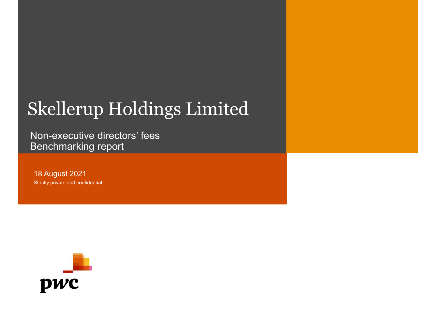## Skellerup Holdings Limited Skellerup Holdings Limited<br>Non-executive directors' fees<br>Benchmarking report<br><sup>18 August 2021</sup> Skellerup Holdings Limited<br>Non-executive directors' fees<br>Benchmarking report<br>18 August 2021<br>Strictly private and confidential

Non-executive directors' fees<br>Benchmarking report

18 August 2021

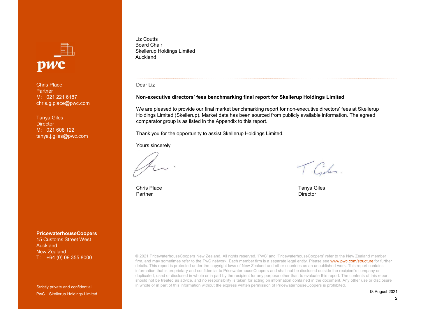

Chris Place **Partner** chris.g.place@pwc.com

Tanya Giles **Director** tanya.j.giles@pwc.com

PricewaterhouseCoopers 15 Customs Street West Auckland

Strictly private and confidential PwC Skellerup Holdings Limited

Liz Coutts Board Chair Skellerup Holdings Limited Auckland

Dear Liz

#### Non-executive directors' fees benchmarking final report for Skellerup Holdings Limited

We are pleased to provide our final market benchmarking report for non-executive directors' fees at Skellerup<br>Holdings Limited (Skellerup). Market data has been sourced from publicly available information. The agreed Holdings Limited<br>Boxel Chair<br>New Heldings Limited<br>We are pleased to provide our final market benchmarking final report for Skellerup Holdings Limited<br>We are pleased to provide our final market benchmarking report for non-e comparator group is as listed in the Appendix to this report. Liz Coutts<br>Bokellerup Holdings Limited<br>Bokellerup Holdings Limited<br>Non-executive directors' fees benchmarking final report for Skellerup Holdings Limited<br>We are pleased to provide our final market benchmarking report for n Liz Coutts<br>
Board Chair<br>
Skellerup Holdings Limited<br>
Nuckland<br>
Dear Liz<br>
Non-executive directors' fees benchmarking final report for Skellerup Holding<br>
We are pleased to provide our final market benchmarking report for non Auckland<br>
Alexikand<br>
We are pleased to provide our final market benchmarking report for Skellerup Holdings Limited<br>
We are pleased to provide our final market benchmarking report for non-executive directors' fees at Skelle Dear Liz<br>
Non-executive directors' fees benchmarking final report for Skellerup Holdings Limited<br>
We are pleased to provide our final market benchmarking report for mon-executive directors' fees at Skellerup<br>
Holdings Limi Liz Coutts<br>
Board Chair<br>
Skellerup Holdings Limited<br>
Auckland<br>
M: 021 221 6187<br>
M: 021 221 6187<br>
M: 021 221 6187<br>
M: 021 221 6187<br>
M: 021 221 6187<br>
M: 021 221 6187<br>
M: 021 221 6187<br>
M: 021 221 6187<br>
M: 021 221 6187<br>
M: 021 Liz Coutts<br>
Board Chair<br>
Skellerup Holdings Limited<br>
Auckland<br>
Chris Place<br>
Chris Place<br>
M: 021 221 6187<br>
M: 021 221 6187<br>
M: 021 208 122<br>
Microsofter<br>
M: 021 608 122<br>
Microsofter<br>
M: 021 608 122<br>
Microsofter<br>
M: 021 608 1

New Zealand<br>T. +64 (0) 00 355 9000 **Directory and the USE Coopers New Zealand. The Cooperation of the Cooperation of the Cooperation of the New Zealand.**<br> **The Cooperation of the New Zealand.**<br>
PricewaterhouseCoopers<br>
PricewaterhouseCoopers<br>
Pricewaterhous firm, and may sometimes refer to the PwC network. Each member firm is a separate legal entity. Please see www.pwc.com/structure for further details. This report is protected under the copyright laws of New Zealand and other countries as an unpublished work. This report contains information that is proprietary and confidential to PricewaterhouseCoopers and shal information that is propriated that is propriated to Pricewater that is propriated to Pricewater and the recipient of the recipient of the recipient of the recipient of the recipient of the recipient of the recipient of th duplicated, used or disclosed in whole or in part by the recipient for any purpose other than to evaluate this report. The contents of this report should not be treated as advice, and no responsibility is taken for acting on information contained in the document. Any other use or disclosure in whole or in part of this information without the express written permission of PricewaterhouseCoopers is prohibited.

18 August 2021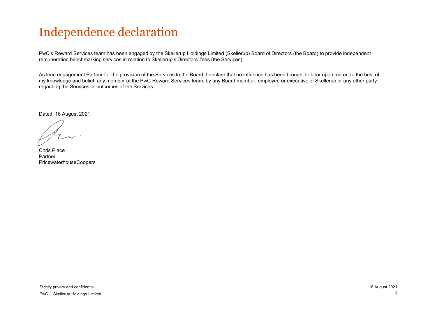#### Independence declaration

PwC's Reward Services team has been engaged by the Skellerup Holdings Limited (Skellerup) Board of Directors (the Board) to provide independent remuneration benchmarking services in relation to Skellerup's Directors' fees (the Services).

As lead engagement Partner for the provision of the Services to the Board, I declare that no influence has been brought to bear upon me or, to the best of my knowledge and belief, any member of the PwC Reward Services team, by any Board member, employee or executive of Skellerup or any other party regarding the Services or outcomes of the Services.

Dated: 18 August 2021

Chris Place Partner PricewaterhouseCoopers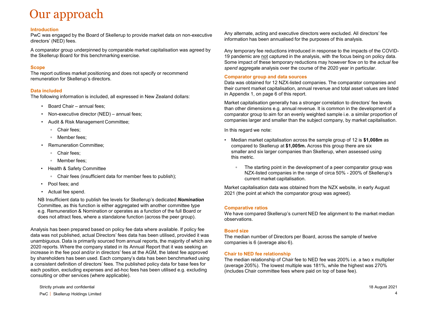#### Our approach

#### Introduction

PwC was engaged by the Board of Skellerup to provide market data on non-executive directors' (NED) fees. **Example 18 Alternation**<br>
Was engaged by the Board of Skellerup to provide market data on non-executive and portocons (NED) fees.<br>
Information<br>
tors' (NED) fees.<br>
Information group underpinned by comparable market capitali **1. Comparator group and Comparation (NED)**<br>
• Non-executive director (NED) fees.<br>
• Non-executive director (NED) fees.<br>
• Non-executive director (NED) fees,<br>
• Non-executive director (NED) fees,<br>
• Charlies market positi **Allace Committee**<br>
• Allace Committee Committee Committee Committee Committee Committee Committee Committee Committee<br>
• Allace Committee Committee; applement Committee; applement Committee; <br>
• Committee Scheierup's dir **11" approach**<br> **Committed Committed Stand** of Skellerup to provide market data on non-executive<br>
tors' (NED) fees.<br>
Imparator group underpinned by comparable market capitalisation was agreed by<br> **exercution**<br> **Committed** was engaged by the Board of Skellerup to provide market data on non-executive<br>tors' (NED) fees.<br>
"memarator group underpinned by comparable market capitalisation was agreed by<br>
"memarator group underpinned by comparable ma

A comparator group underpinned by comparable market capitalisation was agreed by the Skellerup Board for this benchmarking exercise.

#### **Scope**

The report outlines market positioning and does not specify or recommend remuneration for Skellerup's directors.

#### Data included

The following information is included, all expressed in New Zealand dollars:

- 
- 
- -
	-
- -
	-
- - Chair fees (insufficient data for member fees to publish);
- 
- 

mparator group underpinned by comparable market capitalisation was agreed by<br> **e**<br> **vector**<br> **expectition**<br> **expectition**<br> **included**<br> **included**<br> **included**<br> **included**<br> **included**<br> **included**<br> **included**<br> **included**<br> **in be**<br> **(a)**<br> **(a)**<br> **(a)**<br> **(a)**<br> **(a)**<br> **(a)**<br> **(a)**<br> **(a)**<br> **(a)**<br> **(a)**<br> **(a)**<br> **(a)**<br> **(a)**<br> **(a)**<br> **(a)**<br> **(a)**<br> **(a)**<br> **(a)**<br> **(a)**<br> **(a)**<br> **(a)**<br> **(a)**<br> **(a)**<br> **(a)**<br> **(a)**<br> **(a)**<br> **(a)**<br> **(a)**<br> **(a)**<br> **(a)**<br> **(a)**<br> NB Insufficient data to publish fee levels for Skellerup's dedicated **Nomination** Committee, as this function is either aggregated with another committee type e.g. Remuneration & Nomination or operates as a function of the full Board or does not attract fees, where a standalone function (across the peer group).

Analysis has been prepared based on policy fee data where available. If policy fee data was not published, actual Directors' fees data has been utilised, provided it was **Board Chair – annual fersi,**<br>
Non-executive director (NED) – annual fees;<br>
• Chair fees;<br>
• Chair fees;<br>
• Chair fees;<br>
• Chair fees;<br>
• Chair fees;<br>
• Member fees;<br>
• Member fees;<br>
• Member fees;<br>
• Health & Safety Com 2020 reports. Where the company stated in its Annual Report that it was seeking an increase in the fee pool and/or in directors' fees at the AGM, the latest fee approved by shareholders has been used. Each company's data has been benchmarked using a consistent definition of directors' fees. The published policy data for base fees for each position, excluding expenses and ad-hoc fees has been utilised e.g. excluding consulting or other services (where applicable).

Any alternate, acting and executive directors were excluded. All directors' fee information has been annualised for the purposes of this analysis.

Any temporary fee reductions introduced in response to the impacts of the COVID-Any alternate, acting and executive directors were excluded. All directors' fee<br>information has been annualised for the purposes of this analysis.<br>Any temporary fee reductions introduced in response to the impacts of the C Some impact of these temporary reductions may however flow on to the actual fee spend aggregate analysis over the course of the 2020 year in particular. Any alternate, acting and executive directors were excluded. All directors' fee<br>information has been annualised for the purposes of this analysis.<br>
Any temporary fee reductions introduced in response to the impacts of the alternate, acting and exercutive directors were excluded. All directors' fee<br>nation has been annualised for the purposes of this analysis.<br>
emporary fee reductions introduced in response to the impacts of the COVID-<br>
ande or any state manualised for the purposes of this analysis.<br>
orary fee reductions introduced in response to the impacts of the COVID-<br>
mic are not canglerated in the analysis, with the focus being on policy data.<br>
acat of t

#### Comparator group and data sources

Data was obtained for 12 NZX-listed companies. The comparator companies and their current market capitalisation, annual revenue and total asset values are listed in Appendix 1, on page 6 of this report.

Market capitalisation generally has a stronger correlation to directors' fee levels than other dimensions e.g. annual revenue. It is common in the development of a comparator group to aim for an evenly weighted sample i.e. a similar proportion of companies larger and smaller than the subject company, by market capitalisation.

In this regard we note:

- compared to Skellerup at \$1,005m. Across this group there are six smaller and six larger companies than Skellerup, when assessed using this metric.
	- current market capitalisation.

Market capitalisation data was obtained from the NZX website, in early August 2021 (the point at which the comparator group was agreed).

#### Comparative ratios

We have compared Skellerup's current NED fee alignment to the market median observations.

#### Board size

The median number of Directors per Board, across the sample of twelve companies is 6 (average also 6).

#### Chair to NED fee relationship

The median relationship of Chair fee to NED fee was 200% i.e. a two x multiplier (average 205%). The lowest multiple was 181%, while the highest was 270% (includes Chair committee fees where paid on top of base fee).

Strictly private and confidential 18 August 2021 PwC 4 Skellerup Holdings Limited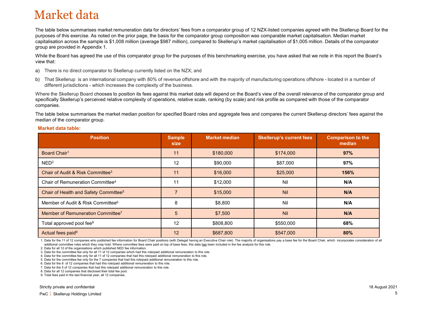#### Market data

The table below summarises market remuneration data for directors' fees from a comparator group of 12 NZX-listed companies agreed with the Skellerup Board for the purposes of this exercise. As noted on the prior page, the basis for the comparator group composition was comparable market capitalisation. Median market capitalisation across the sample is \$1,008 million (average \$987 million), compared to Skellerup's market capitalisation of \$1,005 million. Details of the comparator group are provided in Appendix 1. **Market data**<br>The table below summarises market remuneration data for directors' fees from a comparator group of 12 NZX-listed comparies agreed with the Skellerup Board for the<br>purposes of this exercise. As noted on the pr **and the set of the set of the set of the set of the business of this exercise.** As noted on the prior page, the basis for the comparator group composition was conses of this exercise. As noted on the prior page, the basi **Market data**<br>The table below summarises market remuneration data for directors' fees from a comparator group of 12 NZX-listed comparates agreed with the Skellerup Board for the proposes of this corocion. As noted on the p

- a) There is no direct comparator to Skellerup currently listed on the NZX; and
- 

#### Market data table:

| Market data                                                                                                                                                                                                                                                                                                                                                                                                                                                                                                                                     |                       |                      |                                 |                                    |
|-------------------------------------------------------------------------------------------------------------------------------------------------------------------------------------------------------------------------------------------------------------------------------------------------------------------------------------------------------------------------------------------------------------------------------------------------------------------------------------------------------------------------------------------------|-----------------------|----------------------|---------------------------------|------------------------------------|
| The table below summarises market remuneration data for directors' fees from a comparator group of 12 NZX-listed companies agreed with the Skellerup Board for the<br>ourposes of this exercise. As noted on the prior page, the basis for the comparator group composition was comparable market capitalisation. Median market<br>apitalisation across the sample is \$1,008 million (average \$987 million), compared to Skellerup's market capitalisation of \$1,005 million. Details of the comparator<br>group are provided in Appendix 1. |                       |                      |                                 |                                    |
| While the Board has agreed the use of this comparator group for the purposes of this benchmarking exercise, you have asked that we note in this report the Board's<br>iew that:                                                                                                                                                                                                                                                                                                                                                                 |                       |                      |                                 |                                    |
| a) There is no direct comparator to Skellerup currently listed on the NZX; and                                                                                                                                                                                                                                                                                                                                                                                                                                                                  |                       |                      |                                 |                                    |
| ) That Skellerup is an international company with 80% of revenue offshore and with the majority of manufacturing operations offshore - located in a number of<br>different jurisdictions - which increases the complexity of the business.                                                                                                                                                                                                                                                                                                      |                       |                      |                                 |                                    |
| Where the Skellerup Board chooses to position its fees against this market data will depend on the Board's view of the overall relevance of the comparator group and<br>pecifically Skellerup's perceived relative complexity of operations, relative scale, ranking (by scale) and risk profile as compared with those of the comparator<br>companies.<br>The table below summarises the market median position for specified Board roles and aggregate fees and compares the current Skellerup directors' fees against the                    |                       |                      |                                 |                                    |
| nedian of the comparator group.                                                                                                                                                                                                                                                                                                                                                                                                                                                                                                                 |                       |                      |                                 |                                    |
| <b>Market data table:</b>                                                                                                                                                                                                                                                                                                                                                                                                                                                                                                                       |                       |                      |                                 |                                    |
| <b>Position</b>                                                                                                                                                                                                                                                                                                                                                                                                                                                                                                                                 | <b>Sample</b><br>size | <b>Market median</b> | <b>Skellerup's current fees</b> | <b>Comparison to the</b><br>median |
| Board Chair <sup>1</sup>                                                                                                                                                                                                                                                                                                                                                                                                                                                                                                                        | 11                    | \$180,000            | \$174,000                       | 97%                                |
| NED <sup>2</sup>                                                                                                                                                                                                                                                                                                                                                                                                                                                                                                                                | 12                    | \$90,000             | \$87,000                        | 97%                                |
| Chair of Audit & Risk Committee <sup>3</sup>                                                                                                                                                                                                                                                                                                                                                                                                                                                                                                    | 11                    | \$16,000             | \$25,000                        | 156%                               |
| Chair of Remuneration Committee <sup>4</sup>                                                                                                                                                                                                                                                                                                                                                                                                                                                                                                    | 11                    | \$12,000             | Nil                             | N/A                                |
| Chair of Health and Safety Committee <sup>5</sup>                                                                                                                                                                                                                                                                                                                                                                                                                                                                                               | $\overline{7}$        | \$15,000             | <b>Nil</b>                      | N/A                                |
|                                                                                                                                                                                                                                                                                                                                                                                                                                                                                                                                                 |                       | \$8,800              | Nil                             | N/A                                |
| Member of Audit & Risk Committee <sup>6</sup>                                                                                                                                                                                                                                                                                                                                                                                                                                                                                                   | 8                     |                      |                                 |                                    |
| Member of Remuneration Committee7                                                                                                                                                                                                                                                                                                                                                                                                                                                                                                               | 5                     | \$7,500              | Nil                             | N/A                                |
| Total approved pool fee <sup>8</sup>                                                                                                                                                                                                                                                                                                                                                                                                                                                                                                            | 12                    | \$808,800            | \$550,000                       | 68%                                |

7. Data for the 5 of 12 companies that had this role/paid additional remuneration to this role.

8. Data for all 12 companies that disclosed their total fee pool.

9. Total fees paid in the last financial year, all 12 companies.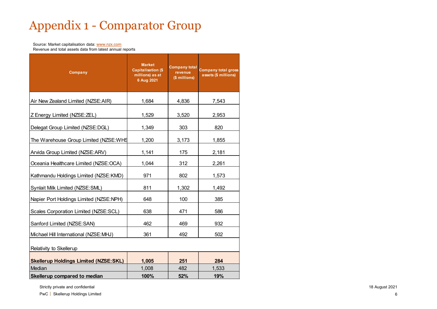# Appendix 1 – Comparator Group<br>
Source: Market capitalisation data: <u>www.nzx.com</u><br>
Revenue and total assets data from latest annual reports

| Source: Market capitalisation data: www.nzx.com                     |                                                                             |                                                  | <b>Appendix 1 - Comparator Group</b>               |
|---------------------------------------------------------------------|-----------------------------------------------------------------------------|--------------------------------------------------|----------------------------------------------------|
| Revenue and total assets data from latest annual reports<br>Company | <b>Market</b><br><b>Capitalisation (\$</b><br>millions) as at<br>6 Aug 2021 | <b>Company total</b><br>revenue<br>(\$ millions) | <b>Company total gross</b><br>assets (\$ millions) |
| Air New Zealand Limited (NZSE:AIR)                                  | 1,684                                                                       | 4,836                                            | 7,543                                              |
| Z Energy Limited (NZSE: ZEL)                                        | 1,529                                                                       | 3,520                                            | 2,953                                              |
| Delegat Group Limited (NZSE:DGL)                                    | 1,349                                                                       | 303                                              | 820                                                |
| The Warehouse Group Limited (NZSE:WHS                               | 1,200                                                                       | 3,173                                            | 1,855                                              |
| Arvida Group Limited (NZSE:ARV)                                     | 1,141                                                                       | 175                                              | 2,181                                              |
| Oceania Healthcare Limited (NZSE:OCA)                               | 1,044                                                                       | 312                                              | 2,261                                              |
| Kathmandu Holdings Limited (NZSE:KMD)                               | 971                                                                         | 802                                              | 1,573                                              |
| Synlait Milk Limited (NZSE:SML)                                     | 811                                                                         | 1,302                                            | 1,492                                              |
| Napier Port Holdings Limited (NZSE:NPH)                             | 648                                                                         | 100                                              | 385                                                |
| Scales Corporation Limited (NZSE:SCL)                               | 638                                                                         | 471                                              | 586                                                |
| Sanford Limited (NZSE:SAN)                                          | 462                                                                         | 469                                              | 932                                                |
| Michael Hill International (NZSE:MHJ)                               | 361                                                                         | 492                                              | 502                                                |
| Relativity to Skellerup                                             |                                                                             |                                                  |                                                    |
| <b>Skellerup Holdings Limited (NZSE:SKL)</b>                        | 1,005                                                                       | 251                                              | 284                                                |
| Median                                                              | 1,008                                                                       | 482                                              | 1,533                                              |